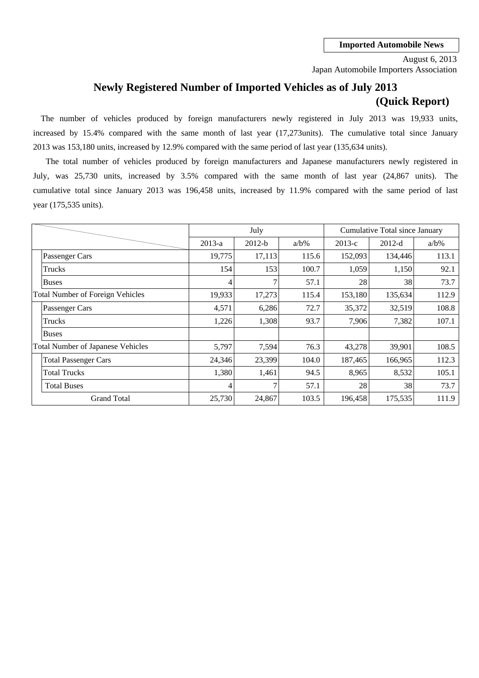Japan Automobile Importers Association August 6, 2013

# **Newly Registered Number of Imported Vehicles as of July 2013 (Quick Report)**

2013 was 153,180 units, increased by 12.9% compared with the same period of last year (135,634 units). The number of vehicles produced by foreign manufacturers newly registered in July 2013 was 19,933 units, increased by 15.4% compared with the same month of last year (17,273units). The cumulative total since January

cumulative total since January 2013 was 196,458 units, increased by 11.9% compared with the same period of last July, was 25,730 units, increased by 3.5% compared with the same month of last year (24,867 units). The year (175,535 units). The total number of vehicles produced by foreign manufacturers and Japanese manufacturers newly registered in

|                                          |          | July     |         |          | Cumulative Total since January |         |
|------------------------------------------|----------|----------|---------|----------|--------------------------------|---------|
|                                          | $2013-a$ | $2012-b$ | $a/b\%$ | $2013-c$ | $2012-d$                       | $a/b\%$ |
| Passenger Cars                           | 19,775   | 17,113   | 115.6   | 152,093  | 134,446                        | 113.1   |
| Trucks                                   | 154      | 153      | 100.7   | 1,059    | 1,150                          | 92.1    |
| <b>Buses</b>                             | 4        | 7        | 57.1    | 28       | 38                             | 73.7    |
| <b>Total Number of Foreign Vehicles</b>  | 19,933   | 17,273   | 115.4   | 153,180  | 135,634                        | 112.9   |
| Passenger Cars                           | 4,571    | 6,286    | 72.7    | 35,372   | 32,519                         | 108.8   |
| Trucks                                   | 1,226    | 1,308    | 93.7    | 7,906    | 7,382                          | 107.1   |
| <b>Buses</b>                             |          |          |         |          |                                |         |
| <b>Total Number of Japanese Vehicles</b> | 5,797    | 7,594    | 76.3    | 43,278   | 39,901                         | 108.5   |
| <b>Total Passenger Cars</b>              | 24,346   | 23,399   | 104.0   | 187,465  | 166,965                        | 112.3   |
| <b>Total Trucks</b>                      | 1,380    | 1,461    | 94.5    | 8,965    | 8,532                          | 105.1   |
| <b>Total Buses</b>                       | 4        | 7        | 57.1    | 28       | 38                             | 73.7    |
| <b>Grand Total</b>                       | 25,730   | 24,867   | 103.5   | 196,458  | 175,535                        | 111.9   |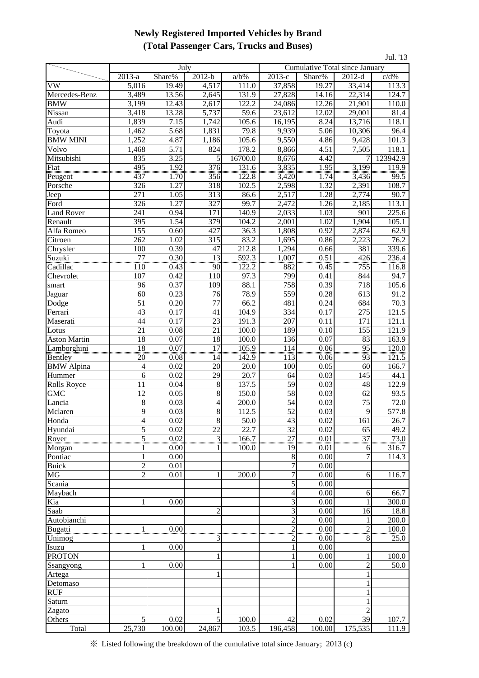## **Newly Registered Imported Vehicles by Brand (Total Passenger Cars, Trucks and Buses)**

| Jul. '13            |                      |                   |                       |                |                                                                  |                     |                 |                      |  |  |  |  |  |
|---------------------|----------------------|-------------------|-----------------------|----------------|------------------------------------------------------------------|---------------------|-----------------|----------------------|--|--|--|--|--|
|                     |                      | July              |                       |                | Cumulative Total since January<br>$2013-c$<br>$2012-d$<br>Share% |                     |                 |                      |  |  |  |  |  |
|                     | 2013-a               | Share%            | $2012-b$              | $a/b\%$        |                                                                  |                     |                 | $c/d\%$              |  |  |  |  |  |
| <b>VW</b>           | 5,016                | 19.49             | 4,517                 | 111.0          | 37,858                                                           | 19.27               | 33,414          | 113.3                |  |  |  |  |  |
| Mercedes-Benz       | 3,489                | 13.56             | 2,645                 | 131.9          | 27,828                                                           | 14.16               | 22,314          | 124.7                |  |  |  |  |  |
| <b>BMW</b>          | 3,199                | 12.43             | 2,617                 | 122.2          | 24,086                                                           | 12.26               | 21,901          | 110.0                |  |  |  |  |  |
| Nissan              | 3,418                | 13.28             | 5,737                 | 59.6           | 23,612                                                           | 12.02               | 29,001          | 81.4                 |  |  |  |  |  |
| Audi                | 1,839                | 7.15              | 1,742                 | 105.6          | 16,195                                                           | 8.24                | 13,716          | 118.1                |  |  |  |  |  |
| Toyota              | 1,462                | 5.68              | 1,831                 | 79.8           | 9,939                                                            | 5.06                | 10,306          | 96.4                 |  |  |  |  |  |
| <b>BMW MINI</b>     | 1,252                | 4.87              | 1,186                 | 105.6          | 9,550                                                            | 4.86                | 9,428           | 101.3                |  |  |  |  |  |
| Volvo               | 1,468                | 5.71              | 824                   | 178.2          | 8,866                                                            | 4.51                | 7,505           | 118.1                |  |  |  |  |  |
| Mitsubishi          | 835                  | 3.25              | 5                     | 16700.0        | 8,676                                                            | 4.42                | 7               | 123942.9             |  |  |  |  |  |
| <b>Fiat</b>         | 495                  | 1.92              | 376                   | 131.6          | 3,835                                                            | 1.95                | 3,199           | 119.9                |  |  |  |  |  |
| Peugeot             | 437                  | 1.70              | 356                   | 122.8          | 3,420                                                            | 1.74                | 3,436           | 99.5                 |  |  |  |  |  |
| Porsche             | 326                  | 1.27              | 318                   | 102.5          | 2,598                                                            | 1.32                | 2,391           | 108.7                |  |  |  |  |  |
| Jeep                | 271                  | 1.05              | 313                   | 86.6           | 2,517                                                            | 1.28                | 2,774           | 90.7                 |  |  |  |  |  |
| Ford                | 326                  | 1.27              | 327                   | 99.7           | 2,472                                                            | 1.26                | 2,185           | 113.1                |  |  |  |  |  |
| <b>Land Rover</b>   | 241                  | 0.94              | 171                   | 140.9          | 2,033                                                            | 1.03                | 901             | 225.6                |  |  |  |  |  |
| Renault             | 395                  | 1.54              | 379                   | 104.2          | 2,001                                                            | 1.02                | 1,904           | 105.1                |  |  |  |  |  |
| Alfa Romeo          | 155                  | 0.60              | 427                   | 36.3           | 1,808                                                            | 0.92                | 2,874           | 62.9                 |  |  |  |  |  |
| Citroen             | 262                  | 1.02              | 315                   | 83.2           | 1,695                                                            | 0.86                | 2,223           | 76.2                 |  |  |  |  |  |
| Chrysler            | 100                  | 0.39              | 47                    | 212.8          | 1,294                                                            | 0.66                | 381             | 339.6                |  |  |  |  |  |
| Suzuki              | $\overline{77}$      | 0.30              | 13                    | 592.3          | 1,007                                                            | 0.51                | 426             | 236.4                |  |  |  |  |  |
| Cadillac            | 110<br>107           | 0.43              | 90                    | 122.2          | 882                                                              | 0.45                | 755             | 116.8                |  |  |  |  |  |
| Chevrolet           |                      | 0.42              | 110<br>109            | 97.3<br>88.1   | 799<br>758                                                       | 0.41<br>0.39        | 844<br>718      | 94.7<br>105.6        |  |  |  |  |  |
| smart               | 96<br>60             | 0.37              |                       |                |                                                                  |                     | 613             |                      |  |  |  |  |  |
| Jaguar              | $\overline{51}$      | 0.23<br>0.20      | 76<br>$\overline{77}$ | 78.9<br>66.2   | 559<br>481                                                       | 0.28<br>0.24        | 684             | 91.2<br>70.3         |  |  |  |  |  |
| Dodge               | 43                   | 0.17              |                       |                | 334                                                              | 0.17                | 275             | 121.5                |  |  |  |  |  |
| Ferrari             | 44                   | 0.17              | 41<br>$\overline{23}$ | 104.9<br>191.3 | 207                                                              | 0.11                | 171             | 121.1                |  |  |  |  |  |
| Maserati<br>Lotus   | 21                   | 0.08              | 21                    | 100.0          | 189                                                              | 0.10                | 155             | 121.9                |  |  |  |  |  |
| <b>Aston Martin</b> | 18                   | 0.07              | 18                    | 100.0          | 136                                                              | 0.07                | 83              | 163.9                |  |  |  |  |  |
| Lamborghini         |                      | 0.07              |                       | 105.9          |                                                                  | 0.06                | 95              | 120.0                |  |  |  |  |  |
| Bentley             | $\frac{18}{1}$<br>20 | 0.08              | $\overline{17}$<br>14 | 142.9          | <u>114</u><br>113                                                | 0.06                | 93              | 121.5                |  |  |  |  |  |
| <b>BMW</b> Alpina   | 4                    | 0.02              | 20                    | 20.0           | 100                                                              | 0.05                | 60              | 166.7                |  |  |  |  |  |
| Hummer              | 6                    | 0.02              | 29                    | 20.7           | 64                                                               | 0.03                | 145             | 44.1                 |  |  |  |  |  |
| <b>Rolls Royce</b>  | 11                   | 0.04              | 8                     | 137.5          | 59                                                               | 0.03                | 48              | 122.9                |  |  |  |  |  |
| <b>GMC</b>          | 12                   | 0.05              | 8                     | 150.0          | 58                                                               | 0.03                | 62              | 93.5                 |  |  |  |  |  |
| Lancia              | $\overline{8}$       | 0.03              | $\overline{4}$        | 200.0          | 54                                                               | 0.03                | $\overline{75}$ | 72.0                 |  |  |  |  |  |
| Mclaren             | $\overline{9}$       | $\overline{0.03}$ | $\overline{8}$        | 112.5          | $\overline{52}$                                                  | 0.03                | $\overline{Q}$  | 577.8                |  |  |  |  |  |
| Honda               | $\overline{4}$       | 0.02              | 8                     | 50.0           | 43                                                               | 0.02                | 161             | 26.7                 |  |  |  |  |  |
| Hyundai             | 5                    | 0.02              | $\overline{22}$       | 22.7           | 32                                                               | 0.02                | 65              | 49.2                 |  |  |  |  |  |
| Rover               | 5                    | 0.02              | 3                     | 166.7          | $\frac{27}{10}$                                                  | 0.01                | $\overline{37}$ | $\overline{73.0}$    |  |  |  |  |  |
| Morgan              |                      | 0.00              |                       | 100.0          | 19                                                               | 0.01                | 6               | 316.7                |  |  |  |  |  |
| Pontiac             | 1                    | 0.00              |                       |                | 8                                                                | 0.00                | $\overline{7}$  | 114.3                |  |  |  |  |  |
| <b>Buick</b>        | $\overline{c}$       | 0.01              |                       |                | $\overline{7}$                                                   | 0.00                |                 |                      |  |  |  |  |  |
| MG                  | $\overline{c}$       | 0.01              | 1                     | 200.0          | $\overline{7}$                                                   | 0.00                | 6               | 116.7                |  |  |  |  |  |
| Scania              |                      |                   |                       |                | 5                                                                | 0.00                |                 |                      |  |  |  |  |  |
| Maybach             |                      |                   |                       |                | $\overline{4}$                                                   | 0.00                | 6               | 66.7                 |  |  |  |  |  |
| Kia                 | 1                    | 0.00              |                       |                | 3                                                                | 0.00                | $\mathbf{1}$    | 300.0                |  |  |  |  |  |
| Saab                |                      |                   | $\overline{c}$        |                | 3                                                                | 0.00                | 16              | 18.8                 |  |  |  |  |  |
| Autobianchi         |                      |                   |                       |                | $\overline{c}$                                                   | 0.00                | $\mathbf 1$     | 200.0                |  |  |  |  |  |
| Bugatti             |                      | 0.00              |                       |                | $\overline{2}$                                                   | $\frac{0.00}{0.00}$ | $\frac{2}{8}$   | $\frac{100.0}{25.0}$ |  |  |  |  |  |
| Unimog              |                      |                   | 3                     |                | $\overline{c}$                                                   |                     |                 |                      |  |  |  |  |  |
| Isuzu               | 1                    | 0.00              |                       |                | 1                                                                | 0.00                |                 |                      |  |  |  |  |  |
| <b>PROTON</b>       |                      |                   |                       |                | 1                                                                | 0.00                | 1               | 100.0                |  |  |  |  |  |
| Ssangyong           | 1                    | 0.00              |                       |                |                                                                  | 0.00                | $\overline{2}$  | 50.0                 |  |  |  |  |  |
| Artega              |                      |                   |                       |                |                                                                  |                     | $\mathbf{1}$    |                      |  |  |  |  |  |
| Detomaso            |                      |                   |                       |                |                                                                  |                     | $\mathbf{1}$    |                      |  |  |  |  |  |
| <b>RUF</b>          |                      |                   |                       |                |                                                                  |                     | $\mathbf{1}$    |                      |  |  |  |  |  |
| Saturn              |                      |                   |                       |                |                                                                  |                     | $\mathbf{1}$    |                      |  |  |  |  |  |
| Zagato              |                      |                   |                       |                |                                                                  |                     | $\overline{c}$  |                      |  |  |  |  |  |
| Others              | 5                    | 0.02              | 5                     | 100.0          | 42                                                               | 0.02                | 39              | 107.7                |  |  |  |  |  |
| Total               | 25,730               | 100.00            | 24,867                | 103.5          | 196,458                                                          | 100.00              | 175,535         | 111.9                |  |  |  |  |  |

※ Listed following the breakdown of the cumulative total since January; 2013 (c)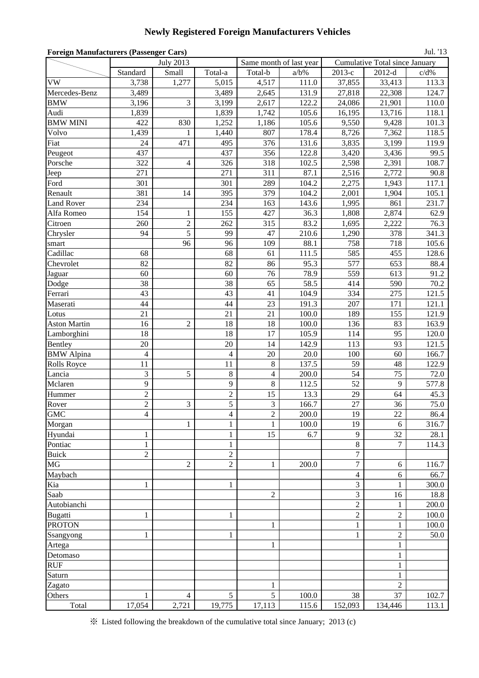## **Newly Registered Foreign Manufacturers Vehicles**

| <b>Foreign Manufacturers (Passenger Cars)</b><br>Jul. '13<br>Same month of last year<br><b>Cumulative Total since January</b> |                   |                  |                     |                |         |                |                |               |  |  |  |  |
|-------------------------------------------------------------------------------------------------------------------------------|-------------------|------------------|---------------------|----------------|---------|----------------|----------------|---------------|--|--|--|--|
|                                                                                                                               |                   | <b>July 2013</b> |                     |                |         |                |                |               |  |  |  |  |
|                                                                                                                               | Standard          | Small            | Total-a             | Total-b        | $a/b\%$ | $2013-c$       | $2012-d$       | c/d%          |  |  |  |  |
| VW                                                                                                                            | 3,738             | 1,277            | 5,015               | 4,517          | 111.0   | 37,855         | 33,413         | 113.3         |  |  |  |  |
| Mercedes-Benz                                                                                                                 | 3,489             |                  | 3,489               | 2,645          | 131.9   | 27,818         | 22,308         | 124.7         |  |  |  |  |
| <b>BMW</b>                                                                                                                    | 3,196             | $\overline{3}$   | 3,199               | 2,617          | 122.2   | 24,086         | 21,901         | 110.0         |  |  |  |  |
| Audi                                                                                                                          | 1,839             |                  | 1,839               | 1,742          | 105.6   | 16,195         | 13,716         | 118.1         |  |  |  |  |
| <b>BMW MINI</b>                                                                                                               | 422               | 830              | 1,252               | 1,186          | 105.6   | 9,550          | 9,428          | 101.3         |  |  |  |  |
| Volvo                                                                                                                         | 1,439             | 1                | 1,440               | 807            | 178.4   | 8,726          | 7,362          | 118.5         |  |  |  |  |
| Fiat                                                                                                                          | 24                | 471              | 495                 | 376            | 131.6   | 3,835          | 3,199          | 119.9         |  |  |  |  |
| Peugeot                                                                                                                       | 437               |                  | 437                 | 356            | 122.8   | 3,420          | 3,436          | 99.5          |  |  |  |  |
| Porsche                                                                                                                       | 322               | $\overline{4}$   | 326                 | 318            | 102.5   | 2,598          | 2,391          | 108.7         |  |  |  |  |
| Jeep                                                                                                                          | 271               |                  | 271                 | 311            | 87.1    | 2,516          | 2,772          | 90.8          |  |  |  |  |
| Ford                                                                                                                          | 301               |                  | 301                 | 289            | 104.2   | 2,275          | 1,943          | 117.1         |  |  |  |  |
| Renault                                                                                                                       | 381               | 14               | 395                 | 379            | 104.2   | 2,001          | 1,904          | 105.1         |  |  |  |  |
| <b>Land Rover</b>                                                                                                             | 234               |                  | 234                 | 163            | 143.6   | 1,995          | 861            | 231.7         |  |  |  |  |
| Alfa Romeo                                                                                                                    | 154               | 1                | 155                 | 427            | 36.3    | 1,808          | 2,874          | 62.9          |  |  |  |  |
| Citroen                                                                                                                       | 260               | $\sqrt{2}$       | 262                 | 315            | 83.2    | 1,695          | 2,222          | 76.3          |  |  |  |  |
| Chrysler                                                                                                                      | 94                | 5                | 99                  | 47             | 210.6   | 1,290          | 378            | 341.3         |  |  |  |  |
| smart                                                                                                                         |                   | 96               | 96                  | 109            | 88.1    | 758            | 718            | 105.6         |  |  |  |  |
| Cadillac                                                                                                                      | 68                |                  | 68                  | 61             | 111.5   | 585            | 455            | 128.6         |  |  |  |  |
| Chevrolet                                                                                                                     | 82                |                  | 82                  | 86             | 95.3    | 577            | 653            | 88.4          |  |  |  |  |
| Jaguar                                                                                                                        | 60                |                  | 60                  | 76             | 78.9    | 559            | 613            | 91.2          |  |  |  |  |
| Dodge                                                                                                                         | 38                |                  | 38                  | 65             | 58.5    | 414            | 590            | 70.2          |  |  |  |  |
| Ferrari                                                                                                                       | 43                |                  | 43                  | 41             | 104.9   | 334            | 275            | 121.5         |  |  |  |  |
| Maserati                                                                                                                      | 44                |                  | 44                  | 23             | 191.3   | 207            | 171            | 121.1         |  |  |  |  |
| Lotus                                                                                                                         | 21                |                  | 21                  | 21             | 100.0   | 189            | 155            | 121.9         |  |  |  |  |
| <b>Aston Martin</b>                                                                                                           | 16                | $\overline{2}$   | 18                  | 18             | 100.0   | 136            | 83             | 163.9         |  |  |  |  |
| Lamborghini                                                                                                                   | 18                |                  | 18                  | 17             | 105.9   | 114            | 95             | 120.0         |  |  |  |  |
| Bentley                                                                                                                       | 20                |                  | 20                  | 14             | 142.9   | 113            | 93             | 121.5         |  |  |  |  |
| <b>BMW</b> Alpina                                                                                                             | $\overline{4}$    |                  | 4                   | 20             | 20.0    | 100            | 60             | 166.7         |  |  |  |  |
| <b>Rolls Royce</b>                                                                                                            | 11                |                  | 11                  | 8              | 137.5   | 59             | 48             | 122.9         |  |  |  |  |
| Lancia                                                                                                                        | 3                 | 5                | $\boldsymbol{8}$    | 4              | 200.0   | 54             | 75             | $72.0\,$      |  |  |  |  |
| Mclaren                                                                                                                       | 9                 |                  | $\overline{9}$      | 8              | 112.5   | 52             | 9              | 577.8         |  |  |  |  |
| Hummer                                                                                                                        | $\overline{c}$    |                  |                     | 15             | 13.3    | 29             | 64             | 45.3          |  |  |  |  |
| Rover                                                                                                                         | $\overline{c}$    | $\mathfrak{Z}$   | $\overline{c}$<br>5 | 3              | 166.7   | 27             | 36             | 75.0          |  |  |  |  |
| <b>GMC</b>                                                                                                                    | 4                 |                  |                     | $\overline{c}$ | 200.0   | 19             | 22             |               |  |  |  |  |
|                                                                                                                               |                   | 1                | 4<br>$\mathbf{1}$   | $\mathbf{1}$   | 100.0   | 19             | 6              | 86.4<br>316.7 |  |  |  |  |
| Morgan<br>Hyundai                                                                                                             |                   |                  | $\mathbf{1}$        | 15             | 6.7     | 9              | 32             | 28.1          |  |  |  |  |
| Pontiac                                                                                                                       | 1<br>$\mathbf{1}$ |                  | $\mathbf{1}$        |                |         | 8              | $\overline{7}$ | 114.3         |  |  |  |  |
| <b>Buick</b>                                                                                                                  | $\overline{c}$    |                  | $\overline{c}$      |                |         | $\overline{7}$ |                |               |  |  |  |  |
| MG                                                                                                                            |                   | $\overline{2}$   | $\overline{c}$      |                |         | $\overline{7}$ |                |               |  |  |  |  |
|                                                                                                                               |                   |                  |                     | $\mathbf{1}$   | 200.0   | $\overline{4}$ | 6              | 116.7         |  |  |  |  |
| Maybach                                                                                                                       |                   |                  |                     |                |         |                | 6              | 66.7          |  |  |  |  |
| Kia                                                                                                                           |                   |                  | 1                   |                |         | 3              |                | 300.0         |  |  |  |  |
| Saab                                                                                                                          |                   |                  |                     | $\overline{c}$ |         | 3              | 16             | 18.8          |  |  |  |  |
| Autobianchi                                                                                                                   |                   |                  |                     |                |         | $\overline{2}$ |                | 200.0         |  |  |  |  |
| Bugatti                                                                                                                       | $\mathbf{1}$      |                  | $\mathbf{1}$        |                |         | $\overline{2}$ | $\overline{c}$ | 100.0         |  |  |  |  |
| <b>PROTON</b>                                                                                                                 |                   |                  |                     | $\mathbf{1}$   |         | $\mathbf{1}$   | 1              | 100.0         |  |  |  |  |
| Ssangyong                                                                                                                     | $\mathbf{1}$      |                  | $\mathbf{1}$        |                |         | 1              | $\overline{c}$ | 50.0          |  |  |  |  |
| Artega                                                                                                                        |                   |                  |                     | $\mathbf{1}$   |         |                | 1              |               |  |  |  |  |
| Detomaso                                                                                                                      |                   |                  |                     |                |         |                | 1              |               |  |  |  |  |
| <b>RUF</b>                                                                                                                    |                   |                  |                     |                |         |                | 1              |               |  |  |  |  |
| Saturn                                                                                                                        |                   |                  |                     |                |         |                | uum            |               |  |  |  |  |
| Zagato                                                                                                                        |                   |                  |                     |                |         |                | 2              |               |  |  |  |  |
| Others                                                                                                                        |                   | $\overline{4}$   | 5                   | 5              | 100.0   | 38             | 37             | 102.7         |  |  |  |  |
| Total                                                                                                                         | 17,054            | 2,721            | 19,775              | 17,113         | 115.6   | 152,093        | 134,446        | 113.1         |  |  |  |  |

※ Listed following the breakdown of the cumulative total since January; 2013 (c)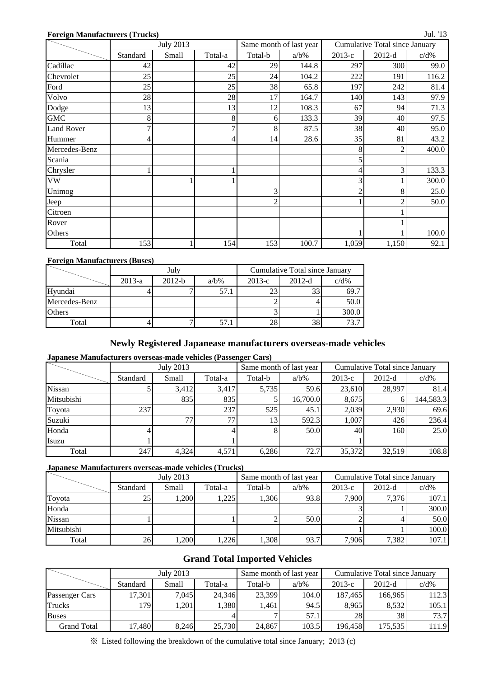#### **Foreign Manufacturers (Trucks)**

|                   | <b>July 2013</b> |       |         |                | Same month of last year | Cumulative Total since January |                |         |  |
|-------------------|------------------|-------|---------|----------------|-------------------------|--------------------------------|----------------|---------|--|
|                   | Standard         | Small | Total-a | Total-b        | $a/b\%$                 | $2013-c$                       | $2012-d$       | $c/d\%$ |  |
| Cadillac          | 42               |       | 42      | 29             | 144.8                   | 297                            | 300            | 99.0    |  |
| Chevrolet         | 25               |       | 25      | 24             | 104.2                   | 222                            | 191            | 116.2   |  |
| Ford              | 25               |       | 25      | 38             | 65.8                    | 197                            | 242            | 81.4    |  |
| Volvo             | 28               |       | 28      | 17             | 164.7                   | 140                            | 143            | 97.9    |  |
| Dodge             | 13               |       | 13      | 12             | 108.3                   | 67                             | 94             | 71.3    |  |
| <b>GMC</b>        | 8                |       | 8       | 6              | 133.3                   | 39                             | 40             | 97.5    |  |
| <b>Land Rover</b> |                  |       | 7       | 8              | 87.5                    | 38                             | 40             | 95.0    |  |
| Hummer            |                  |       | 4       | 14             | 28.6                    | 35                             | 81             | 43.2    |  |
| Mercedes-Benz     |                  |       |         |                |                         | 8                              | 2              | 400.0   |  |
| Scania            |                  |       |         |                |                         |                                |                |         |  |
| Chrysler          |                  |       |         |                |                         |                                | 3              | 133.3   |  |
| ${\rm VW}$        |                  |       |         |                |                         | 3                              |                | 300.0   |  |
| Unimog            |                  |       |         | 3              |                         | $\overline{2}$                 | 8              | 25.0    |  |
| Jeep              |                  |       |         | $\overline{c}$ |                         |                                | $\overline{c}$ | 50.0    |  |
| Citroen           |                  |       |         |                |                         |                                |                |         |  |
| Rover             |                  |       |         |                |                         |                                |                |         |  |
| Others            |                  |       |         |                |                         |                                |                | 100.0   |  |
| Total             | 153              |       | 154     | 153            | 100.7                   | 1,059                          | 1,150          | 92.1    |  |

#### **Foreign Manufacturers (Buses)**

|               |          | July     |         | Cumulative Total since January |          |         |  |  |
|---------------|----------|----------|---------|--------------------------------|----------|---------|--|--|
|               | $2013-a$ | $2012-b$ | $a/b\%$ | $2013-c$                       | $2012-d$ | $c/d\%$ |  |  |
| Hyundai       |          |          | 57.1    | 23                             | 22       | 69.7    |  |  |
| Mercedes-Benz |          |          |         |                                |          | 50.0    |  |  |
| Others        |          |          |         |                                |          | 300.0   |  |  |
| Total         |          | −        | 57.1    | 28                             | 38       | 73.7    |  |  |

## **Newly Registered Japanease manufacturers overseas-made vehicles**

#### **Japanese Manufacturers overseas-made vehicles (Passenger Cars)**

|            |          | <b>July 2013</b> |         |                 | Same month of last year | <b>Cumulative Total since January</b> |          |           |  |
|------------|----------|------------------|---------|-----------------|-------------------------|---------------------------------------|----------|-----------|--|
|            | Standard | Small            | Total-a | Total-b         | $a/b\%$                 | $2013-c$                              | $2012-d$ | $c/d\%$   |  |
| Nissan     |          | 3.412            | 3,417   | 5,735           | 59.6                    | 23,610                                | 28,997   | 81.4      |  |
| Mitsubishi |          | 835              | 835     |                 | 16,700.0                | 8,675                                 | n.       | 144,583.3 |  |
| Toyota     | 237      |                  | 237     | 525             | 45.1                    | 2,039                                 | 2,930    | 69.6      |  |
| Suzuki     |          | 77               | 77      | 13 <sub>1</sub> | 592.3                   | 1,007                                 | 426      | 236.4     |  |
| Honda      |          |                  |         |                 | 50.0                    | 40                                    | 1601     | 25.0      |  |
| Isuzu      |          |                  |         |                 |                         |                                       |          |           |  |
| Total      | 247      | 4,324            | 4,571   | 6,286           | 72.7                    | 35,372                                | 32,519   | 108.8     |  |

#### **Japanese Manufacturers overseas-made vehicles (Trucks)**

|               |          | July 2013 |         |         | Same month of last year | Cumulative Total since January |          |         |  |
|---------------|----------|-----------|---------|---------|-------------------------|--------------------------------|----------|---------|--|
|               | Standard | Small     | Total-a | Total-b | $a/b\%$                 | $2013-c$                       | $2012-d$ | $c/d\%$ |  |
| Toyota        | 25       | ,200      | 1,225   | .306    | 93.8                    | 7,900                          | 7.376    | 107.1   |  |
| Honda         |          |           |         |         |                         |                                |          | 300.0   |  |
| <b>Nissan</b> |          |           |         |         | 50.0                    |                                |          | 50.0    |  |
| Mitsubishi    |          |           |         |         |                         |                                |          | 100.0   |  |
| Total         | 26       | 1,200     | 1,226   | .308    | 93.7                    | 7.906                          | 7,382    | 107.1   |  |

## **Grand Total Imported Vehicles**

|                    |          | July 2013 |         |         | Same month of last year | Cumulative Total since January |          |         |  |
|--------------------|----------|-----------|---------|---------|-------------------------|--------------------------------|----------|---------|--|
|                    | Standard | Small     | Total-a | Total-b | $a/b\%$                 | $2013-c$                       | $2012-d$ | $c/d\%$ |  |
| Passenger Cars     | 17,301   | 7,045     | 24,346  | 23,399  | 104.0                   | 187,465                        | 166,965  | 112.3   |  |
| Trucks             | 179      | ,201      | 1,380   | .461    | 94.5                    | 8,965                          | 8,532    | 105.1   |  |
| <b>Buses</b>       |          |           |         |         | 57.1                    | 28                             | 38       | 73.7    |  |
| <b>Grand Total</b> | 17,480   | 8.246     | 25,730  | 24,867  | 103.5                   | 196.458                        | 175.535  | 111.9   |  |

※ Listed following the breakdown of the cumulative total since January; 2013 (c)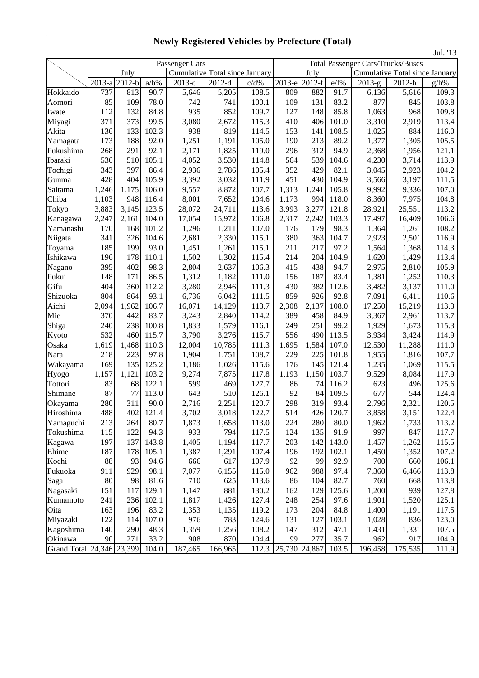Passenger Cars Total Passenger Cars/Trucks/Buses July Cumulative Total since January July Cumulative Total since January 2013-a 2012-b a/b% 2013-c 2012-d c/d% 2013-e 2012-f e/f% 2013-g 2012-h g/h% Hokkaido 737 813 90.7 5,646 5,205 108.5 809 882 91.7 6,136 5,616 109.3 Aomori | 85 109 78.0 | 742 741 100.1 109 131 83.2 | 877 845 103.8 Iwate | 112 132 84.8 | 935 | 852 109.7 | 127 148 85.8 | 1,063 | 968 109.8 Miyagi | 371 373 99.5 3,080 2,672 115.3 410 406 101.0 3,310 2,919 113.4 Akita 136 133 102.3 938 819 114.5 153 141 108.5 1,025 884 116.0 Yamagata | 173 | 188 | 92.0 | 1,251 | 1,191 | 105.0 | 190 | 213 | 89.2 | 1,377 | 1,305 | 105.5 Fukushima 268 291 92.1 2,171 1,825 119.0 296 312 94.9 2,368 1,956 121.1 Ibaraki 536 510 105.1 4,052 3,530 114.8 564 539 104.6 4,230 3,714 113.9 Tochigi 343 397 86.4 2,936 2,786 105.4 352 429 82.1 3,045 2,923 104.2 Gunma | 428 404 105.9 3,392 3,032 111.9 451 430 104.9 3,566 3,197 111.5 Saitama | 1,246 1,175 106.0 | 9,557 | 8,872 | 107.7 | 1,313 | 1,241 | 105.8 | 9,992 | 9,336 | 107.0 Chiba 1,103 948 116.4 8,001 7,652 104.6 1,173 994 118.0 8,360 7,975 104.8 Tokyo 3,883 3,145 123.5 28,072 24,711 113.6 3,993 3,277 121.8 28,921 25,551 113.2 Kanagawa | 2,247 | 2,161 | 104.0 | 17,054 | 15,972 | 106.8 | 2,317 | 2,242 | 103.3 | 17,497 | 16,409 | 106.6 Yamanashi 170 168 101.2 1,296 1,211 107.0 176 179 98.3 1,364 1,261 108.2 Niigata | 341 326 104.6 | 2,681 | 2,330 | 115.1 | 380 | 363 104.7 | 2,923 | 2,501 | 116.9 Toyama | 185 199 93.0 1,451 1,261 115.1 211 217 97.2 1,564 1,368 114.3 Ishikawa 196 178 110.1 1,502 1,302 115.4 214 204 104.9 1,620 1,429 113.4 Nagano | 395 402 98.3 2,804 2,637 106.3 415 438 94.7 2,975 2,810 105.9 Fukui 148 171 86.5 1,312 1,182 111.0 156 187 83.4 1,381 1,252 110.3 Gifu | 404 360 112.2 3,280 2,946 111.3 430 382 112.6 3,482 3,137 111.0 Shizuoka 804 864 93.1 6,736 6,042 111.5 859 926 92.8 7,091 6,411 110.6 Aichi | 2,094 1,962 106.7 | 16,071 | 14,129 | 113.7 | 2,308 | 2,137 | 108.0 | 17,250 | 15,219 | 113.3 Mie 370 442 83.7 3,243 2,840 114.2 389 458 84.9 3,367 2,961 113.7 Shiga | 240 238 100.8 1,833 1,579 116.1 249 251 99.2 1,929 1,673 115.3 Kyoto | 532 460 115.7 3,790 3,276 115.7 556 490 113.5 3,934 3,424 114.9 Osaka 1,619 1,468 110.3 12,004 10,785 111.3 1,695 1,584 107.0 12,530 11,288 111.0 Nara | 218 223 97.8 1,904 1,751 108.7 229 225 101.8 1,955 1,816 107.7 Wakayama | 169 | 135 | 125.2 | 1,186 | 1,026 | 115.6 | 176 | 145 | 121.4 | 1,235 | 1,069 | 115.5 Hyogo 1,157 1,121 103.2 9,274 7,875 117.8 1,193 1,150 103.7 9,529 8,084 117.9 Tottori 83 68 122.1 599 469 127.7 86 74 116.2 623 496 125.6 Shimane | 87 77 113.0 643 510 126.1 92 84 109.5 677 544 124.4 Okayama 280 311 90.0 2,716 2,251 120.7 298 319 93.4 2,796 2,321 120.5 Hiroshima | 488 402 121.4 3,702 3,018 122.7 514 426 120.7 3,858 3,151 122.4 Yamaguchi 213 264 80.7 1,873 1,658 113.0 224 280 80.0 1,962 1,733 113.2 Tokushima 115 122 94.3 933 794 117.5 124 135 91.9 997 847 117.7 Kagawa | 197 137 143.8 1,405 1,194 117.7 203 142 143.0 1,457 1,262 115.5 Ehime | 187 178 105.1 1,387 1,291 107.4 196 192 102.1 1,450 1,352 107.2 Kochi 88 93 94.6 666 617 107.9 92 99 92.9 700 660 106.1 Fukuoka 911 929 98.1 7,077 6,155 115.0 962 988 97.4 7,360 6,466 113.8 Saga | 80 98 81.6 710 625 113.6 86 104 82.7 760 668 113.8 Nagasaki 151 117 129.1 1,147 881 130.2 162 129 125.6 1,200 939 127.8 Kumamoto | 241 | 236 102.1 | 1,817 | 1,426 | 127.4 | 248 | 254 | 97.6 | 1,901 | 1,520 | 125.1 Oita 163 196 83.2 1,353 1,135 119.2 173 204 84.8 1,400 1,191 117.5 Miyazaki 122 114 107.0 976 783 124.6 131 127 103.1 1,028 836 123.0 Kagoshima 140 290 48.3 1,359 1,256 108.2 147 312 47.1 1,431 1,331 107.5 Okinawa 90 271 33.2 908 870 104.4 99 277 35.7 962 917 104.9

Grand Total 24,346 23,399 104.0 187,465 166,965 112.3 25,730 24,867 103.5 196,458 175,535 111.9

### **Newly Registered Vehicles by Prefecture (Total)**

Jul. '13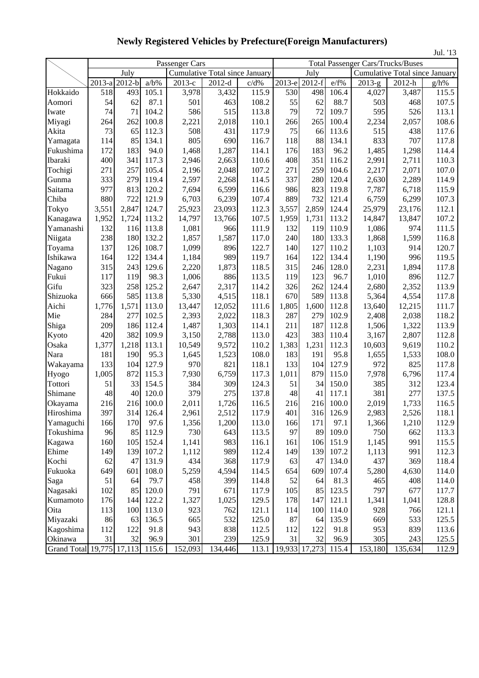|                           |        |                     |         |                                |          |       |        |               |       |          |                                          | Jul. '13 |  |  |
|---------------------------|--------|---------------------|---------|--------------------------------|----------|-------|--------|---------------|-------|----------|------------------------------------------|----------|--|--|
|                           |        |                     |         | Passenger Cars                 |          |       |        |               |       |          | <b>Total Passenger Cars/Trucks/Buses</b> |          |  |  |
|                           |        | July                |         | Cumulative Total since January |          |       |        | July          |       |          | Cumulative Total since January           |          |  |  |
|                           | 2013-a | $\overline{2012-b}$ | $a/b\%$ | 2013-е                         | $2012-d$ | c/d%  | 2013-е | $2012-f$      | e/f%  | $2013-g$ | 2012-h                                   | $g/h\%$  |  |  |
| Hokkaido                  | 518    | 493                 | 105.1   | 3,978                          | 3,432    | 115.9 | 530    | 498           | 106.4 | 4,027    | 3,487                                    | 115.5    |  |  |
| Aomori                    | 54     | 62                  | 87.1    | 501                            | 463      | 108.2 | 55     | 62            | 88.7  | 503      | 468                                      | 107.5    |  |  |
| Iwate                     | 74     | 71                  | 104.2   | 586                            | 515      | 113.8 | 79     | 72            | 109.7 | 595      | 526                                      | 113.1    |  |  |
| Miyagi                    | 264    | 262                 | 100.8   | 2,221                          | 2,018    | 110.1 | 266    | 265           | 100.4 | 2,234    | 2,057                                    | 108.6    |  |  |
| Akita                     | 73     | 65                  | 112.3   | 508                            | 431      | 117.9 | 75     | 66            | 113.6 | 515      | 438                                      | 117.6    |  |  |
| Yamagata                  | 114    | 85                  | 134.1   | 805                            | 690      | 116.7 | 118    | 88            | 134.1 | 833      | 707                                      | 117.8    |  |  |
| Fukushima                 | 172    | 183                 | 94.0    | 1,468                          | 1,287    | 114.1 | 176    | 183           | 96.2  | 1,485    | 1,298                                    | 114.4    |  |  |
| Ibaraki                   | 400    | 341                 | 117.3   | 2,946                          | 2,663    | 110.6 | 408    | 351           | 116.2 | 2,991    | 2,711                                    | 110.3    |  |  |
| Tochigi                   | 271    | 257                 | 105.4   | 2,196                          | 2,048    | 107.2 | 271    | 259           | 104.6 | 2,217    | 2,071                                    | 107.0    |  |  |
| Gunma                     | 333    | 279                 | 119.4   | 2,597                          | 2,268    | 114.5 | 337    | 280           | 120.4 | 2,630    | 2,289                                    | 114.9    |  |  |
| Saitama                   | 977    | 813                 | 120.2   | 7,694                          | 6,599    | 116.6 | 986    | 823           | 119.8 | 7,787    | 6,718                                    | 115.9    |  |  |
| Chiba                     | 880    | 722                 | 121.9   | 6,703                          | 6,239    | 107.4 | 889    | 732           | 121.4 | 6,759    | 6,299                                    | 107.3    |  |  |
| Tokyo                     | 3,551  | 2,847               | 124.7   | 25,923                         | 23,093   | 112.3 | 3,557  | 2,859         | 124.4 | 25,979   | 23,176                                   | 112.1    |  |  |
| Kanagawa                  | 1,952  | 1,724               | 113.2   | 14,797                         | 13,766   | 107.5 | 1,959  | 1,731         | 113.2 | 14,847   | 13,847                                   | 107.2    |  |  |
| Yamanashi                 | 132    | 116                 | 113.8   | 1,081                          | 966      | 111.9 | 132    | 119           | 110.9 | 1,086    | 974                                      | 111.5    |  |  |
| Niigata                   | 238    | 180                 | 132.2   | 1,857                          | 1,587    | 117.0 | 240    | 180           | 133.3 | 1,868    | 1,599                                    | 116.8    |  |  |
| Toyama                    | 137    | 126                 | 108.7   | 1,099                          | 896      | 122.7 | 140    | 127           | 110.2 | 1,103    | 914                                      | 120.7    |  |  |
| Ishikawa                  | 164    | 122                 | 134.4   | 1,184                          | 989      | 119.7 | 164    | 122           | 134.4 | 1,190    | 996                                      | 119.5    |  |  |
| Nagano                    | 315    | 243                 | 129.6   | 2,220                          | 1,873    | 118.5 | 315    | 246           | 128.0 | 2,231    | 1,894                                    | 117.8    |  |  |
| Fukui                     | 117    | 119                 | 98.3    | 1,006                          | 886      | 113.5 | 119    | 123           | 96.7  | 1,010    | 896                                      | 112.7    |  |  |
| Gifu                      | 323    | 258                 | 125.2   | 2,647                          | 2,317    | 114.2 | 326    | 262           | 124.4 | 2,680    | 2,352                                    | 113.9    |  |  |
| Shizuoka                  | 666    | 585                 | 113.8   | 5,330                          | 4,515    | 118.1 | 670    | 589           | 113.8 | 5,364    | 4,554                                    | 117.8    |  |  |
| Aichi                     | 1,776  | 1,571               | 113.0   | 13,447                         | 12,052   | 111.6 | 1,805  | 1,600         | 112.8 | 13,640   | 12,215                                   | 111.7    |  |  |
| Mie                       | 284    | 277                 | 102.5   | 2,393                          | 2,022    | 118.3 | 287    | 279           | 102.9 | 2,408    | 2,038                                    | 118.2    |  |  |
| Shiga                     | 209    | 186                 | 112.4   | 1,487                          | 1,303    | 114.1 | 211    | 187           | 112.8 | 1,506    | 1,322                                    | 113.9    |  |  |
| Kyoto                     | 420    | 382                 | 109.9   | 3,150                          | 2,788    | 113.0 | 423    | 383           | 110.4 | 3,167    | 2,807                                    | 112.8    |  |  |
| Osaka                     | 1,377  | 1,218               | 113.1   | 10,549                         | 9,572    | 110.2 | 1,383  | 1,231         | 112.3 | 10,603   | 9,619                                    | 110.2    |  |  |
| Nara                      | 181    | 190                 | 95.3    | 1,645                          | 1,523    | 108.0 | 183    | 191           | 95.8  | 1,655    | 1,533                                    | 108.0    |  |  |
| Wakayama                  | 133    | 104                 | 127.9   | 970                            | 821      | 118.1 | 133    | 104           | 127.9 | 972      | 825                                      | 117.8    |  |  |
| Hyogo                     | 1,005  | 872                 | 115.3   | 7,930                          | 6,759    | 117.3 | 1,011  | 879           | 115.0 | 7,978    | 6,796                                    | 117.4    |  |  |
| Tottori                   | 51     | 33                  | 154.5   | 384                            | 309      | 124.3 | 51     | 34            | 150.0 | 385      | 312                                      | 123.4    |  |  |
| Shimane                   | 48     | 40                  | 120.0   | 379                            | 275      | 137.8 | 48     | 41            | 117.1 | 381      | 277                                      | 137.5    |  |  |
| Okayama                   | 216    | 216                 | 100.0   | 2,011                          | 1,726    | 116.5 | 216    | 216           | 100.0 | 2,019    | 1,733                                    | 116.5    |  |  |
| Hiroshima                 | 397    | 314                 | 126.4   | 2,961                          | 2,512    | 117.9 | 401    | 316           | 126.9 | 2,983    | 2,526                                    | 118.1    |  |  |
| Yamaguchi                 | 166    | 170                 | 97.6    | 1,356                          | 1,200    | 113.0 | 166    | 171           | 97.1  | 1,366    | 1,210                                    | 112.9    |  |  |
| Tokushima                 | 96     | 85                  | 112.9   | 730                            | 643      | 113.5 | 97     | 89            | 109.0 | 750      | 662                                      | 113.3    |  |  |
| Kagawa                    | 160    | 105                 | 152.4   | 1,141                          | 983      | 116.1 | 161    | 106           | 151.9 | 1,145    | 991                                      | 115.5    |  |  |
| Ehime                     | 149    | 139                 | 107.2   | 1,112                          | 989      | 112.4 | 149    | 139           | 107.2 | 1,113    | 991                                      | 112.3    |  |  |
| Kochi                     | 62     | 47                  | 131.9   | 434                            | 368      | 117.9 | 63     | 47            | 134.0 | 437      | 369                                      | 118.4    |  |  |
| Fukuoka                   | 649    | 601                 | 108.0   | 5,259                          | 4,594    | 114.5 | 654    | 609           | 107.4 | 5,280    | 4,630                                    | 114.0    |  |  |
| Saga                      | 51     | 64                  | 79.7    | 458                            | 399      | 114.8 | 52     | 64            | 81.3  | 465      | 408                                      | 114.0    |  |  |
| Nagasaki                  | 102    | 85                  | 120.0   | 791                            | 671      | 117.9 | 105    | 85            | 123.5 | 797      | 677                                      | 117.7    |  |  |
| Kumamoto                  | 176    | 144                 | 122.2   | 1,327                          | 1,025    | 129.5 | 178    | 147           | 121.1 | 1,341    | 1,041                                    | 128.8    |  |  |
| Oita                      | 113    | 100                 | 113.0   | 923                            | 762      | 121.1 | 114    | 100           | 114.0 | 928      | 766                                      | 121.1    |  |  |
| Miyazaki                  | 86     | 63                  | 136.5   | 665                            | 532      | 125.0 | 87     | 64            | 135.9 | 669      | 533                                      | 125.5    |  |  |
| Kagoshima                 | 112    | 122                 | 91.8    | 943                            | 838      | 112.5 | 112    | 122           | 91.8  | 953      | 839                                      | 113.6    |  |  |
| Okinawa                   | 31     | 32                  | 96.9    | 301                            | 239      | 125.9 | 31     | 32            | 96.9  | 305      | 243                                      | 125.5    |  |  |
| Grand Total 19,775 17,113 |        |                     | 115.6   | 152,093                        | 134,446  | 113.1 |        | 19,933 17,273 | 115.4 | 153,180  | 135,634                                  | 112.9    |  |  |

**Newly Registered Vehicles by Prefecture(Foreign Manufacturers)**